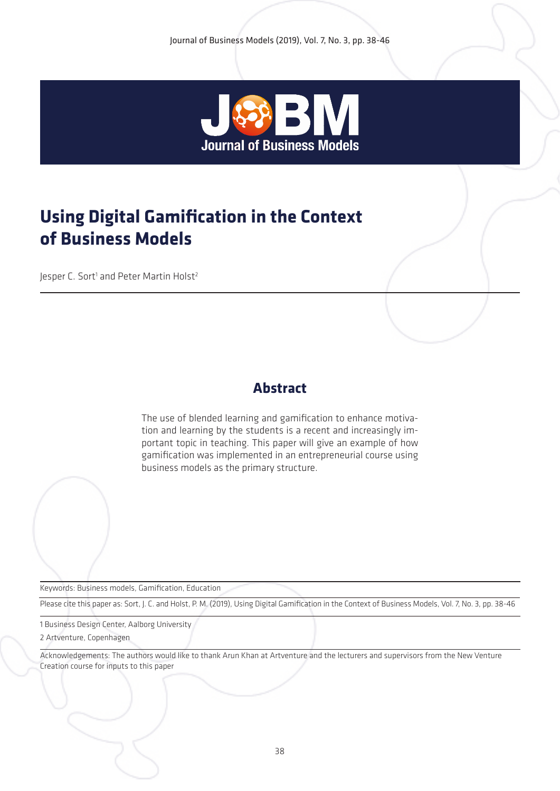

# **Using Digital Gamification in the Context of Business Models**

Jesper C. Sort<sup>1</sup> and Peter Martin Holst<sup>2</sup>

## **Abstract**

The use of blended learning and gamification to enhance motivation and learning by the students is a recent and increasingly important topic in teaching. This paper will give an example of how gamification was implemented in an entrepreneurial course using business models as the primary structure.

Keywords: Business models, Gamification, Education

Please cite this paper as: Sort, J. C. and Holst, P. M. (2019), Using Digital Gamification in the Context of Business Models, Vol. 7, No. 3, pp. 38-46

1 Business Design Center, Aalborg University

2 Artventure, Copenhagen

Acknowledgements: The authors would like to thank Arun Khan at Artventure and the lecturers and supervisors from the New Venture Creation course for inputs to this paper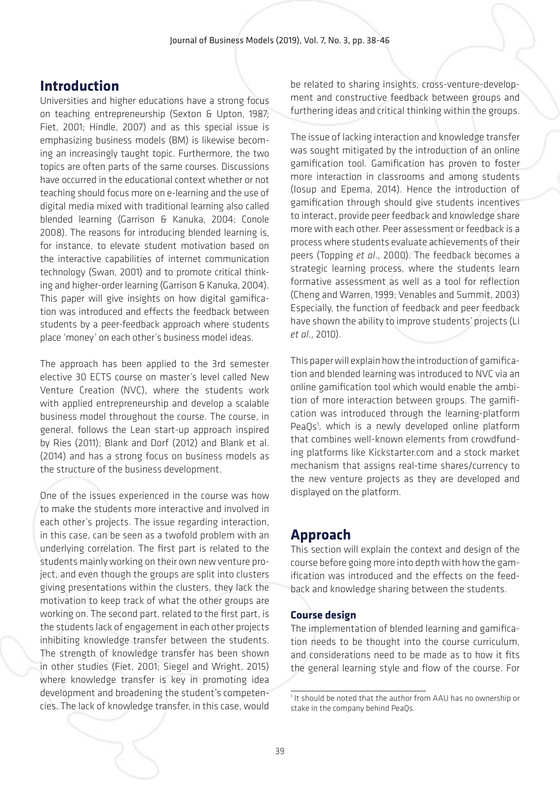### **Introduction**

Universities and higher educations have a strong focus on teaching entrepreneurship (Sexton & Upton, 1987; Fiet, 2001; Hindle, 2007) and as this special issue is emphasizing business models (BM) is likewise becoming an increasingly taught topic. Furthermore, the two topics are often parts of the same courses. Discussions have occurred in the educational context whether or not teaching should focus more on e-learning and the use of digital media mixed with traditional learning also called blended learning (Garrison & Kanuka, 2004; Conole 2008). The reasons for introducing blended learning is, for instance, to elevate student motivation based on the interactive capabilities of internet communication technology (Swan, 2001) and to promote critical thinking and higher-order learning (Garrison & Kanuka, 2004). This paper will give insights on how digital gamification was introduced and effects the feedback between students by a peer-feedback approach where students place 'money' on each other's business model ideas.

The approach has been applied to the 3rd semester elective 30 ECTS course on master's level called New Venture Creation (NVC), where the students work with applied entrepreneurship and develop a scalable business model throughout the course. The course, in general, follows the Lean start-up approach inspired by Ries (2011); Blank and Dorf (2012) and Blank et al. (2014) and has a strong focus on business models as the structure of the business development.

One of the issues experienced in the course was how to make the students more interactive and involved in each other's projects. The issue regarding interaction, in this case, can be seen as a twofold problem with an underlying correlation. The first part is related to the students mainly working on their own new venture project, and even though the groups are split into clusters giving presentations within the clusters, they lack the motivation to keep track of what the other groups are working on. The second part, related to the first part, is the students lack of engagement in each other projects inhibiting knowledge transfer between the students. The strength of knowledge transfer has been shown in other studies (Fiet, 2001; Siegel and Wright, 2015) where knowledge transfer is key in promoting idea development and broadening the student's competencies. The lack of knowledge transfer, in this case, would

be related to sharing insights, cross-venture-development and constructive feedback between groups and furthering ideas and critical thinking within the groups.

The issue of lacking interaction and knowledge transfer was sought mitigated by the introduction of an online gamification tool. Gamification has proven to foster more interaction in classrooms and among students (Iosup and Epema, 2014). Hence the introduction of gamification through should give students incentives to interact, provide peer feedback and knowledge share more with each other. Peer assessment or feedback is a process where students evaluate achievements of their peers (Topping *et al*., 2000). The feedback becomes a strategic learning process, where the students learn formative assessment as well as a tool for reflection (Cheng and Warren, 1999; Venables and Summit, 2003) Especially, the function of feedback and peer feedback have shown the ability to improve students' projects (Li *et al*., 2010).

This paper will explain how the introduction of gamification and blended learning was introduced to NVC via an online gamification tool which would enable the ambition of more interaction between groups. The gamification was introduced through the learning-platform PeaQs<sup>1</sup>, which is a newly developed online platform that combines well-known elements from crowdfunding platforms like Kickstarter.com and a stock market mechanism that assigns real-time shares/currency to the new venture projects as they are developed and displayed on the platform.

# **Approach**

This section will explain the context and design of the course before going more into depth with how the gamification was introduced and the effects on the feedback and knowledge sharing between the students.

#### **Course design**

The implementation of blended learning and gamification needs to be thought into the course curriculum, and considerations need to be made as to how it fits the general learning style and flow of the course. For

<sup>&</sup>lt;sup>1</sup> It should be noted that the author from AAU has no ownership or stake in the company behind PeaQs.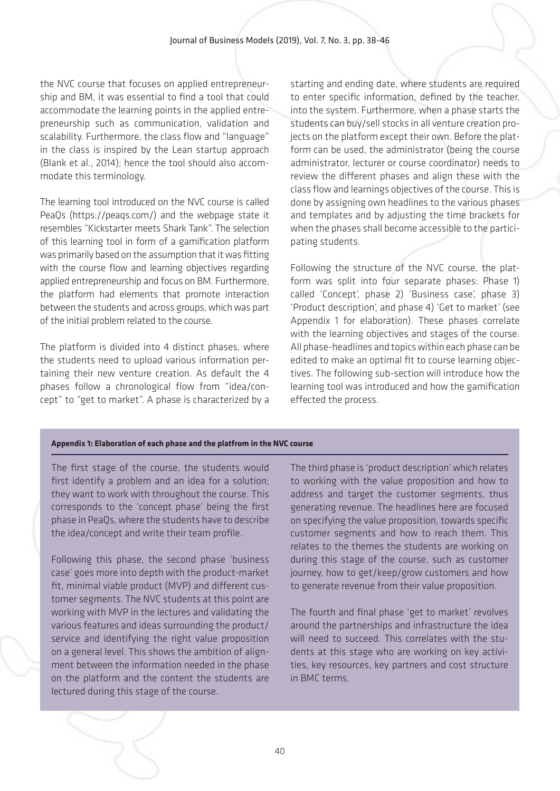the NVC course that focuses on applied entrepreneurship and BM, it was essential to find a tool that could accommodate the learning points in the applied entrepreneurship such as communication, validation and scalability. Furthermore, the class flow and "language" in the class is inspired by the Lean startup approach (Blank et al., 2014); hence the tool should also accommodate this terminology.

The learning tool introduced on the NVC course is called PeaQs (https://peaqs.com/) and the webpage state it resembles "Kickstarter meets Shark Tank". The selection of this learning tool in form of a gamification platform was primarily based on the assumption that it was fitting with the course flow and learning objectives regarding applied entrepreneurship and focus on BM. Furthermore, the platform had elements that promote interaction between the students and across groups, which was part of the initial problem related to the course.

The platform is divided into 4 distinct phases, where the students need to upload various information pertaining their new venture creation. As default the 4 phases follow a chronological flow from "idea/concept" to "get to market". A phase is characterized by a

starting and ending date, where students are required to enter specific information, defined by the teacher, into the system. Furthermore, when a phase starts the students can buy/sell stocks in all venture creation projects on the platform except their own. Before the platform can be used, the administrator (being the course administrator, lecturer or course coordinator) needs to review the different phases and align these with the class flow and learnings objectives of the course. This is done by assigning own headlines to the various phases and templates and by adjusting the time brackets for when the phases shall become accessible to the participating students.

Following the structure of the NVC course, the platform was split into four separate phases: Phase 1) called 'Concept', phase 2) 'Business case', phase 3) 'Product description', and phase 4) 'Get to market' (see Appendix 1 for elaboration). These phases correlate with the learning objectives and stages of the course. All phase-headlines and topics within each phase can be edited to make an optimal fit to course learning objectives. The following sub-section will introduce how the learning tool was introduced and how the gamification effected the process.

#### **Appendix 1: Elaboration of each phase and the platfrom in the NVC course**

The first stage of the course, the students would first identify a problem and an idea for a solution; they want to work with throughout the course. This corresponds to the 'concept phase' being the first phase in PeaQs, where the students have to describe the idea/concept and write their team profile.

Following this phase, the second phase 'business case' goes more into depth with the product-market fit, minimal viable product (MVP) and different customer segments. The NVC students at this point are working with MVP in the lectures and validating the various features and ideas surrounding the product/ service and identifying the right value proposition on a general level. This shows the ambition of alignment between the information needed in the phase on the platform and the content the students are lectured during this stage of the course.

The third phase is 'product description' which relates to working with the value proposition and how to address and target the customer segments, thus generating revenue. The headlines here are focused on specifying the value proposition, towards specific customer segments and how to reach them. This relates to the themes the students are working on during this stage of the course, such as customer journey, how to get/keep/grow customers and how to generate revenue from their value proposition.

The fourth and final phase 'get to market' revolves around the partnerships and infrastructure the idea will need to succeed. This correlates with the students at this stage who are working on key activities, key resources, key partners and cost structure in BMC terms.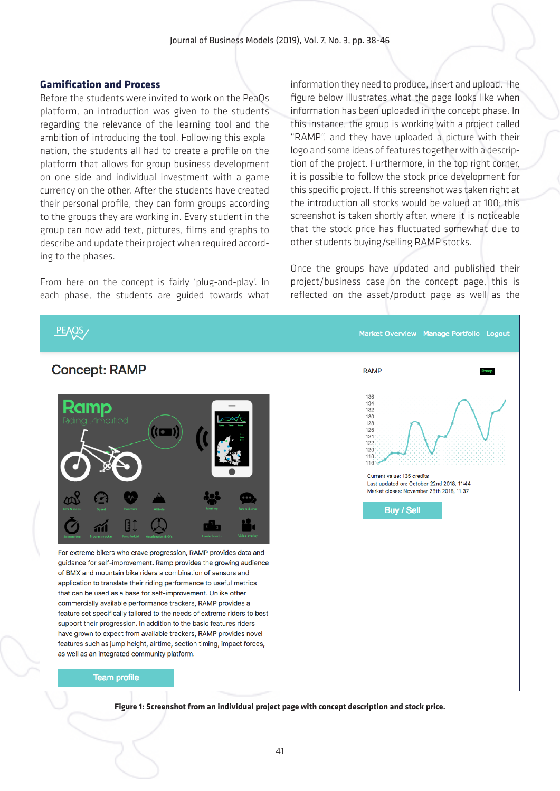#### **Gamification and Process**

Before the students were invited to work on the PeaQs platform, an introduction was given to the students regarding the relevance of the learning tool and the ambition of introducing the tool. Following this explanation, the students all had to create a profile on the platform that allows for group business development on one side and individual investment with a game currency on the other. After the students have created their personal profile, they can form groups according to the groups they are working in. Every student in the group can now add text, pictures, films and graphs to describe and update their project when required according to the phases.

From here on the concept is fairly 'plug-and-play'. In each phase, the students are guided towards what

information they need to produce, insert and upload. The figure below illustrates what the page looks like when information has been uploaded in the concept phase. In this instance, the group is working with a project called "RAMP", and they have uploaded a picture with their logo and some ideas of features together with a description of the project. Furthermore, in the top right corner, it is possible to follow the stock price development for this specific project. If this screenshot was taken right at the introduction all stocks would be valued at 100; this screenshot is taken shortly after, where it is noticeable that the stock price has fluctuated somewhat due to other students buying/selling RAMP stocks.

Once the groups have updated and published their project/business case on the concept page, this is reflected on the asset/product page as well as the



**Figure 1: Screenshot from an individual project page with concept description and stock price.**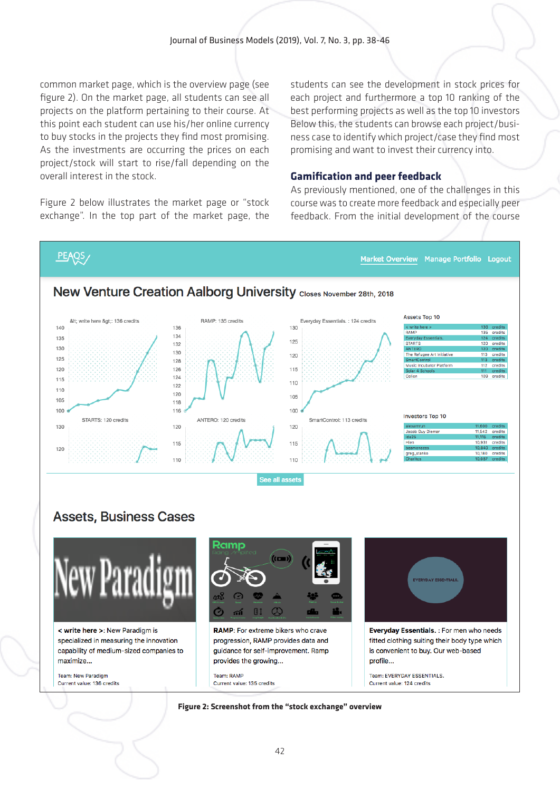common market page, which is the overview page (see figure 2). On the market page, all students can see all projects on the platform pertaining to their course. At this point each student can use his/her online currency to buy stocks in the projects they find most promising. As the investments are occurring the prices on each project/stock will start to rise/fall depending on the overall interest in the stock.

Figure 2 below illustrates the market page or "stock exchange". In the top part of the market page, the students can see the development in stock prices for each project and furthermore a top 10 ranking of the best performing projects as well as the top 10 investors Below this, the students can browse each project/business case to identify which project/case they find most promising and want to invest their currency into.

#### **Gamification and peer feedback**

As previously mentioned, one of the challenges in this course was to create more feedback and especially peer feedback. From the initial development of the course

### PEAQS/

Market Overview Manage Portfolio Logout



### **Assets, Business Cases**





#### 42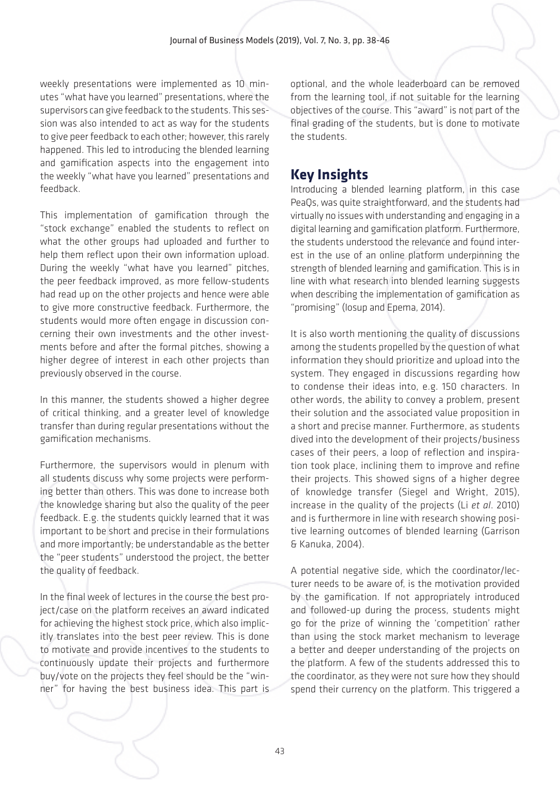weekly presentations were implemented as 10 minutes "what have you learned" presentations, where the supervisors can give feedback to the students. This session was also intended to act as way for the students to give peer feedback to each other; however, this rarely happened. This led to introducing the blended learning and gamification aspects into the engagement into the weekly "what have you learned" presentations and feedback.

This implementation of gamification through the "stock exchange" enabled the students to reflect on what the other groups had uploaded and further to help them reflect upon their own information upload. During the weekly "what have you learned" pitches, the peer feedback improved, as more fellow-students had read up on the other projects and hence were able to give more constructive feedback. Furthermore, the students would more often engage in discussion concerning their own investments and the other investments before and after the formal pitches, showing a higher degree of interest in each other projects than previously observed in the course.

In this manner, the students showed a higher degree of critical thinking, and a greater level of knowledge transfer than during regular presentations without the gamification mechanisms.

Furthermore, the supervisors would in plenum with all students discuss why some projects were performing better than others. This was done to increase both the knowledge sharing but also the quality of the peer feedback. E.g. the students quickly learned that it was important to be short and precise in their formulations and more importantly; be understandable as the better the "peer students" understood the project, the better the quality of feedback.

In the final week of lectures in the course the best project/case on the platform receives an award indicated for achieving the highest stock price, which also implicitly translates into the best peer review. This is done to motivate and provide incentives to the students to continuously update their projects and furthermore buy/vote on the projects they feel should be the "winner" for having the best business idea. This part is optional, and the whole leaderboard can be removed from the learning tool, if not suitable for the learning objectives of the course. This "award" is not part of the final grading of the students, but is done to motivate the students.

### **Key Insights**

Introducing a blended learning platform, in this case PeaQs, was quite straightforward, and the students had virtually no issues with understanding and engaging in a digital learning and gamification platform. Furthermore, the students understood the relevance and found interest in the use of an online platform underpinning the strength of blended learning and gamification. This is in line with what research into blended learning suggests when describing the implementation of gamification as "promising" (Iosup and Epema, 2014).

It is also worth mentioning the quality of discussions among the students propelled by the question of what information they should prioritize and upload into the system. They engaged in discussions regarding how to condense their ideas into, e.g. 150 characters. In other words, the ability to convey a problem, present their solution and the associated value proposition in a short and precise manner. Furthermore, as students dived into the development of their projects/business cases of their peers, a loop of reflection and inspiration took place, inclining them to improve and refine their projects. This showed signs of a higher degree of knowledge transfer (Siegel and Wright, 2015), increase in the quality of the projects (Li *et al*. 2010) and is furthermore in line with research showing positive learning outcomes of blended learning (Garrison & Kanuka, 2004).

A potential negative side, which the coordinator/lecturer needs to be aware of, is the motivation provided by the gamification. If not appropriately introduced and followed-up during the process, students might go for the prize of winning the 'competition' rather than using the stock market mechanism to leverage a better and deeper understanding of the projects on the platform. A few of the students addressed this to the coordinator, as they were not sure how they should spend their currency on the platform. This triggered a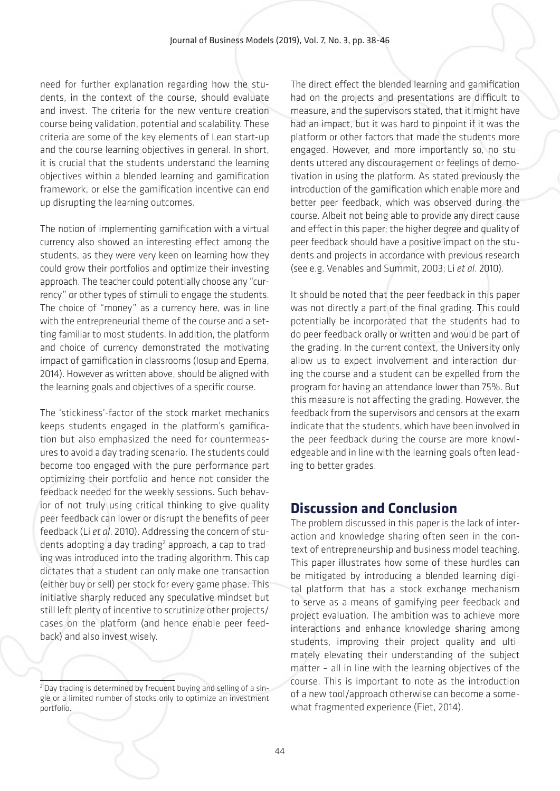need for further explanation regarding how the students, in the context of the course, should evaluate and invest. The criteria for the new venture creation course being validation, potential and scalability. These criteria are some of the key elements of Lean start-up and the course learning objectives in general. In short, it is crucial that the students understand the learning objectives within a blended learning and gamification framework, or else the gamification incentive can end up disrupting the learning outcomes.

The notion of implementing gamification with a virtual currency also showed an interesting effect among the students, as they were very keen on learning how they could grow their portfolios and optimize their investing approach. The teacher could potentially choose any "currency" or other types of stimuli to engage the students. The choice of "money" as a currency here, was in line with the entrepreneurial theme of the course and a setting familiar to most students. In addition, the platform and choice of currency demonstrated the motivating impact of gamification in classrooms (Iosup and Epema, 2014). However as written above, should be aligned with the learning goals and objectives of a specific course.

The 'stickiness'-factor of the stock market mechanics keeps students engaged in the platform's gamification but also emphasized the need for countermeasures to avoid a day trading scenario. The students could become too engaged with the pure performance part optimizing their portfolio and hence not consider the feedback needed for the weekly sessions. Such behavior of not truly using critical thinking to give quality peer feedback can lower or disrupt the benefits of peer feedback (Li *et al*. 2010). Addressing the concern of students adopting a day trading<sup>2</sup> approach, a cap to trading was introduced into the trading algorithm. This cap dictates that a student can only make one transaction (either buy or sell) per stock for every game phase. This initiative sharply reduced any speculative mindset but still left plenty of incentive to scrutinize other projects/ cases on the platform (and hence enable peer feedback) and also invest wisely.

The direct effect the blended learning and gamification had on the projects and presentations are difficult to measure, and the supervisors stated, that it might have had an impact, but it was hard to pinpoint if it was the platform or other factors that made the students more engaged. However, and more importantly so, no students uttered any discouragement or feelings of demotivation in using the platform. As stated previously the introduction of the gamification which enable more and better peer feedback, which was observed during the course. Albeit not being able to provide any direct cause and effect in this paper; the higher degree and quality of peer feedback should have a positive impact on the students and projects in accordance with previous research (see e.g. Venables and Summit, 2003; Li *et al*. 2010).

It should be noted that the peer feedback in this paper was not directly a part of the final grading. This could potentially be incorporated that the students had to do peer feedback orally or written and would be part of the grading. In the current context, the University only allow us to expect involvement and interaction during the course and a student can be expelled from the program for having an attendance lower than 75%. But this measure is not affecting the grading. However, the feedback from the supervisors and censors at the exam indicate that the students, which have been involved in the peer feedback during the course are more knowledgeable and in line with the learning goals often leading to better grades.

# **Discussion and Conclusion**

The problem discussed in this paper is the lack of interaction and knowledge sharing often seen in the context of entrepreneurship and business model teaching. This paper illustrates how some of these hurdles can be mitigated by introducing a blended learning digital platform that has a stock exchange mechanism to serve as a means of gamifying peer feedback and project evaluation. The ambition was to achieve more interactions and enhance knowledge sharing among students, improving their project quality and ultimately elevating their understanding of the subject matter – all in line with the learning objectives of the course. This is important to note as the introduction of a new tool/approach otherwise can become a somewhat fragmented experience (Fiet, 2014).

<sup>&</sup>lt;sup>2</sup> Day trading is determined by frequent buying and selling of a single or a limited number of stocks only to optimize an investment portfolio.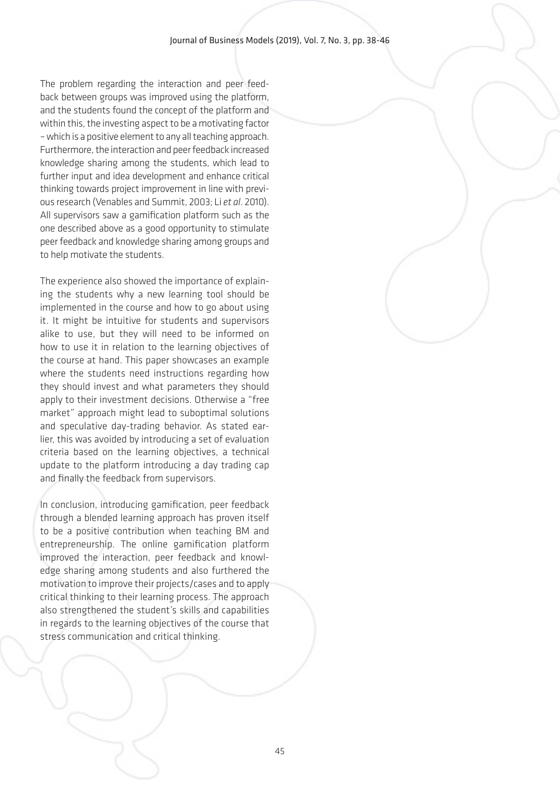The problem regarding the interaction and peer feedback between groups was improved using the platform, and the students found the concept of the platform and within this, the investing aspect to be a motivating factor – which is a positive element to any all teaching approach. Furthermore, the interaction and peer feedback increased knowledge sharing among the students, which lead to further input and idea development and enhance critical thinking towards project improvement in line with previous research (Venables and Summit, 2003; Li *et al*. 2010). All supervisors saw a gamification platform such as the one described above as a good opportunity to stimulate peer feedback and knowledge sharing among groups and to help motivate the students.

The experience also showed the importance of explaining the students why a new learning tool should be implemented in the course and how to go about using it. It might be intuitive for students and supervisors alike to use, but they will need to be informed on how to use it in relation to the learning objectives of the course at hand. This paper showcases an example where the students need instructions regarding how they should invest and what parameters they should apply to their investment decisions. Otherwise a "free market" approach might lead to suboptimal solutions and speculative day-trading behavior. As stated earlier, this was avoided by introducing a set of evaluation criteria based on the learning objectives, a technical update to the platform introducing a day trading cap and finally the feedback from supervisors.

In conclusion, introducing gamification, peer feedback through a blended learning approach has proven itself to be a positive contribution when teaching BM and entrepreneurship. The online gamification platform improved the interaction, peer feedback and knowledge sharing among students and also furthered the motivation to improve their projects/cases and to apply critical thinking to their learning process. The approach also strengthened the student's skills and capabilities in regards to the learning objectives of the course that stress communication and critical thinking.